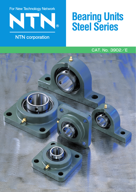For New Technology Network  $\overline{R}$ 

# **NTN** corporation

# **Bearing Units Steel Series**

## CAT. No. 3902/E

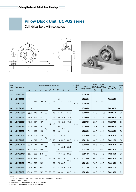### **Pillow Block Unit; UCPG2 series**

Cylindrical bore with set screw







| <b>Bore</b><br>dia. | Part number      | Boundary dimensions mm |     |                |                |                |       |                |                |               | <b>Nominal</b><br>bolt | Insert         | <b>Basic</b><br><b>Basic</b><br>dvnamic<br>static<br>rated load rated load |           | Housing        | <b>Mass</b><br>kg |
|---------------------|------------------|------------------------|-----|----------------|----------------|----------------|-------|----------------|----------------|---------------|------------------------|----------------|----------------------------------------------------------------------------|-----------|----------------|-------------------|
| mm                  |                  | H                      | L   | $\overline{J}$ | $\overline{A}$ | $\overline{N}$ | $H_1$ | H <sub>2</sub> | $\overline{B}$ | $\mathcal{S}$ | dia.                   | bearing number | kN<br>$C_{r}$                                                              | kN<br>Cor | part number    | (Ref.)            |
| 12                  | <b>UCPG201D1</b> |                        |     |                |                |                |       |                |                |               |                        | <b>UC201D1</b> |                                                                            |           | <b>PG203D1</b> | 0.7               |
| 15                  | <b>UCPG202D1</b> | 30.2                   |     |                |                |                |       | 62             |                |               |                        | <b>UC202D1</b> |                                                                            |           |                |                   |
| 17                  | <b>UCPG203D1</b> |                        | 127 | 95             | 25             | 12             | 14    |                | 31             | 12.7          | M10                    | <b>UC203D1</b> | 12.8                                                                       | 6.65      |                |                   |
| 20                  | <b>UCPG204D1</b> | 33.3                   |     |                |                |                |       | 65             |                |               |                        | <b>UC204D1</b> |                                                                            |           | <b>PG204D1</b> |                   |
| 25                  | <b>UCPG205D1</b> | 36.5                   | 140 | 105            | 30             |                | 15    | 71             | 34             | 14.3          |                        | <b>UC205D1</b> | 14.0                                                                       | 7.85      | <b>PG205D1</b> | 0.8               |
| 30                  | <b>UCPG206D1</b> | 42.9                   | 165 | 121            | 35<br>40       |                | 17    | 83             | 38.1           | 15.9          | M14                    | <b>UC206D1</b> | 19.5                                                                       | 11.3      | <b>PG206D1</b> | 1.3               |
| 35                  | <b>UCPG207D1</b> | 47.6                   | 167 | 127            |                | 17             | 18    | 93             | 42.9           | 17.5          |                        | <b>UC207D1</b> | 25.7                                                                       | 15.3      | <b>PG207D1</b> | 1.6               |
| 40                  | <b>UCPG208D1</b> | 49.2                   | 184 | 137            |                |                |       | 98             | 49.2           | 19            |                        | <b>UC208D1</b> | 29.1                                                                       | 17.8      | <b>PG208D1</b> | 1.9               |
| 45                  | <b>UCPG209D1</b> | 54                     | 190 | 146            |                |                | 20    | 106            |                |               |                        | <b>UC209D1</b> | 32.5                                                                       | 20.4      | PG209D1        | 2.2               |
| 50                  | <b>UCPG210D1</b> | 57.2                   | 206 | 159            | 45             |                | 21    | 114            | 51.6           |               | M16                    | <b>UC210D1</b> | 35.0                                                                       | 23.2      | <b>PG210D1</b> | 2.6               |
| 55                  | <b>UCPG211D1</b> | 63.5                   | 219 | 171            |                | 19             | 23    | 126            | 55.6           | 22.2          |                        | <b>UC211D1</b> | 43.5                                                                       | 29.2      | <b>PG211D1</b> | 3.3               |
| 60                  | <b>UCPG212D1</b> | 69.8                   | 241 | 184            |                |                | 25    | 138            |                |               |                        | <b>UC212D1</b> | 52.5                                                                       | 36.0      | <b>PG212D1</b> | 4.6               |
| 65                  | <b>UCPG213D1</b> | 76.2                   | 265 | 203            | 50             |                | 27    | 151            | 65.1           | 25.4          |                        | <b>UC213D1</b> | 57.5                                                                       | 40.0      | <b>PG213D1</b> | 5.9               |
| 70                  | <b>UCPG214D1</b> | 79.4                   | 266 | 210            |                |                |       | 157            | 74.6           | 30.2          |                        | <b>UC214D1</b> | 62.0                                                                       | 44.0      | <b>PG214D1</b> | 6.6               |
| 75                  | <b>UCPG215D1</b> | 82.6                   | 275 | 217            | 55             | 24             | 28    | 163            | 77.8           |               | M20                    | <b>UC215D1</b> | 66.0                                                                       | 49.5      | <b>PG215D1</b> | 7.4               |
| 80                  | <b>UCPG216D1</b> | 88.9                   | 292 | 232            |                |                | 30    | 175            | 82.6           | 33.3          |                        | <b>UC216D1</b> | 72.5                                                                       | 53.0      | <b>PG216D1</b> | 9.0               |
| 85                  | <b>UCPG217D1</b> | 95.2                   | 310 | 247            | 60             |                | 32    | 187            | 85.7           | 34.1          |                        | <b>UC217D1</b> | 83.5                                                                       | 64.0      | <b>PG217D1</b> | 11                |
| 90                  | <b>UCPG218D1</b> | 101.6                  | 327 | 262            | 65             | 26             | 33    | 200            | 96             | 39.7          | M22                    | <b>UC218D1</b> | 96.0                                                                       | 71.5      | <b>PG218D1</b> | 13                |

Note)

1. Stamped steel or cast iron dust covers are also available upon request.

2. Refer to catalog 2400.

3. Ball bearing tolerances according to JIS B 1558.

4. Housing tolerances according to JIS B 1559.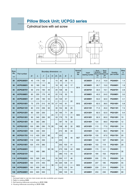#### **Pillow Block Unit; UCPG3 series**

#### Cylindrical bore with set screw



| <b>Bore</b> |                  | Boundary dimensions mm |     |                |                  |                                                               |    |     |      |                | Nominal<br>bolt   | Insert                             | <b>Basic</b><br><b>Basic</b><br>dynamic<br>static |        | Housing        | <b>Mass</b><br>kg |
|-------------|------------------|------------------------|-----|----------------|------------------|---------------------------------------------------------------|----|-----|------|----------------|-------------------|------------------------------------|---------------------------------------------------|--------|----------------|-------------------|
| dia.<br>mm  | Part number      | H                      | L   | $\overline{J}$ | $\boldsymbol{A}$ | H <sub>2</sub><br>$\boldsymbol{B}$<br>$\overline{N}$<br>$H_1$ |    | S   | dia. | bearing number | kN<br>$C_{\rm r}$ | rated load rated load<br>kN<br>Cor | part number                                       | (Ref.) |                |                   |
| 25          | <b>UCPG305D1</b> | 45                     | 175 | 132            |                  |                                                               | 15 | 85  | 38   | 15             |                   | <b>UC305D1</b>                     | 21.2                                              | 10.9   | <b>PG305D1</b> | 1.4               |
| 30          | <b>UCPG306D1</b> | 50                     | 180 | 140            | 35               |                                                               | 18 | 95  | 43   | 17             |                   | <b>UC306D1</b>                     | 26.7                                              | 15.0   | <b>PG306D1</b> | 1.8               |
| 35          | <b>UCPG307D1</b> | 56                     | 210 | 160            | 40               | 17                                                            | 20 | 106 | 48   | 19             | M14               | <b>UC307D1</b>                     | 33.5                                              | 19.1   | <b>PG307D1</b> | 2.8               |
| 40          | <b>UCPG308D1</b> | 60                     | 220 | 170            | 45               |                                                               | 22 | 116 | 52   |                |                   | <b>UC308D1</b>                     | 40.5                                              | 24.0   | <b>PG308D1</b> | 3.0               |
| 45          | <b>UCPG309D1</b> | 67                     | 245 | 190            | 50               |                                                               | 24 | 129 | 57   |                |                   | <b>UC309D1</b>                     | 53.0                                              | 32.0   | <b>PG309D1</b> | 4.1               |
| 50          | <b>UCPG310D1</b> | 75                     | 275 | 212            | 55               | 19                                                            | 27 | 143 | 61   | 22             | M16               | <b>UC310D1</b>                     | 62.0                                              | 38.5   | <b>PG310D1</b> | 5.8               |
| 55          | <b>UCPG311D1</b> | 80                     | 310 | 236            | 60               |                                                               |    | 154 | 66   | 25             |                   | <b>UC311D1</b>                     | 71.5                                              | 45.0   | <b>PG311D1</b> | 7.4               |
| 60          | <b>UCPG312D1</b> | 85                     | 330 | 250            | 65               | 24                                                            | 32 | 165 | 71   | 26             | M20               | <b>UC312D1</b>                     | 82.0                                              | 52.0   | <b>PG312D1</b> | 9.4               |
| 65          | <b>UCPG313D1</b> | 90                     | 340 | 260            |                  |                                                               | 33 | 176 | 75   | 30             |                   | <b>UC313D1</b>                     | 92.5                                              | 60.0   | <b>PG313D1</b> | 10                |
| 70          | <b>UCPG314D1</b> | 95                     | 360 | 280            |                  | 26                                                            | 35 | 187 | 78   | 33             |                   | <b>UC314D1</b>                     | 104                                               | 68.0   | <b>PG314D1</b> | 12                |
| 75          | <b>UCPG315D1</b> | 100                    | 380 | 290            | 75               |                                                               |    | 198 | 82   | 32             | M22               | <b>UC315D1</b>                     | 113                                               | 77.0   | <b>PG315D1</b> | 14                |
| 80          | <b>UCPG316D1</b> | 106                    | 400 | 300            |                  |                                                               | 40 | 210 | 86   | 34             |                   | <b>UC316D1</b>                     | 123                                               | 86.5   | <b>PG316D1</b> | 18                |
| 85          | <b>UCPG317D1</b> | 112                    | 420 | 320            | 80               | 32                                                            |    | 220 | 96   | 40             | M27               | <b>UC317D1</b>                     | 133                                               | 97.0   | <b>PG317D1</b> | 20                |
| 90          | <b>UCPG318D1</b> | 118                    | 430 | 330            |                  |                                                               |    | 235 |      |                |                   | <b>UC318D1</b>                     | 143                                               | 107    | <b>PG318D1</b> | 24                |
| 95          | <b>UCPG319D1</b> | 125                    | 470 | 360            |                  |                                                               | 45 | 250 | 103  | 41             |                   | <b>UC319D1</b>                     | 153                                               | 119    | <b>PG319D1</b> | 29                |
| 100         | <b>UCPG320D1</b> | 140                    | 490 | 380            | 90               | 35                                                            | 50 | 275 | 108  | 42             | M30               | <b>UC320D1</b>                     | 173                                               | 141    | <b>PG320D1</b> | 35                |
| 105         | <b>UCPG321D1</b> |                        |     |                |                  |                                                               |    | 280 | 112  | 44             |                   | <b>UC321D1</b>                     | 184                                               | 153    | PG321D1        |                   |
| 110         | <b>UCPG322D1</b> | 150                    | 520 | 400            | 100              |                                                               | 55 | 300 | 117  | 46             | M33               | <b>UC322D1</b>                     | 205                                               | 179    | <b>PG322D1</b> | 45                |
| 120         | <b>UCPG324D1</b> | 160                    | 570 | 450            |                  | 38                                                            | 65 | 320 | 126  | 51             |                   | <b>UC324D1</b>                     | 207                                               | 185    | <b>PG324D1</b> | 55                |
| 130         | <b>UCPG326D1</b> | 180                    | 600 | 480            | 110              |                                                               | 75 | 355 | 135  | 54             |                   | <b>UC326D1</b>                     | 229                                               | 214    | <b>PG326D1</b> | 72                |
| 140         | <b>UCPG328D1</b> | 200                    | 620 | 500            |                  |                                                               |    | 390 | 145  | 59             |                   | <b>UC328D1</b>                     | 253                                               | 246    | <b>PG328D1</b> | 89                |

Note)

1. Stamped steel or cast iron dust covers are also available upon request.

2. Refer to catalog 2400.

3. Ball bearing tolerances according to JIS B 1558.

4. Housing tolerances according to JIS B 1559.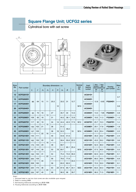# **Square Flange Unit; UCFG2 series**

Cylindrical bore with set screw







| <b>Bore</b><br>dia. |                  |     |                |                |                | Boundary dimensions mm |                |                |                  |      | Nominal<br>bolt | Insert<br>bearing | <b>Basic</b><br>dynamic                         | <b>Basic</b><br>static | Housing<br>part number | <b>Mass</b><br>kg |
|---------------------|------------------|-----|----------------|----------------|----------------|------------------------|----------------|----------------|------------------|------|-----------------|-------------------|-------------------------------------------------|------------------------|------------------------|-------------------|
| mm                  | Part number      | L   | $\overline{J}$ | A <sub>2</sub> | A <sub>1</sub> | $\overline{A}$         | $\overline{N}$ | A <sub>0</sub> | $\boldsymbol{B}$ | S    | dia.            | number            | rated load rated load<br>kN<br>$C_{\mathsf{r}}$ | kN<br>$C$ or           |                        | (Ref.)            |
| 12                  | <b>UCFG201D1</b> |     |                |                |                |                        |                |                |                  |      | M10             | <b>UC201D1</b>    |                                                 | 6.65                   | <b>FG204D1</b>         | 0.7               |
| 15                  | <b>UCFG202D1</b> | 86  | 64             | 15             | 11             | 25.5                   |                | 33.3           |                  | 12.7 |                 | <b>UC202D1</b>    |                                                 |                        |                        |                   |
| 17                  | <b>UCFG203D1</b> |     |                |                |                |                        | 12             |                | 31               |      |                 | <b>UC203D1</b>    | 12.8                                            |                        |                        | 0.6               |
| 20                  | <b>UCFG204D1</b> |     |                |                |                |                        |                |                |                  |      |                 | <b>UC204D1</b>    |                                                 |                        |                        |                   |
| 25                  | <b>UCFG205D1</b> | 95  | 70             | 16             | 13             | 27                     |                | 35.7           | 34               | 14.3 |                 | <b>UC205D1</b>    | 14.0                                            | 7.85                   | FG205D1                | 0.8               |
| 30                  | <b>UCFG206D1</b> | 108 | 83             | 18             |                | 31                     |                | 40.2           | 38.1             | 15.9 |                 | <b>UC206D1</b>    | 19.5                                            | 11.3                   | <b>FG206D1</b>         | 1.0               |
| 35                  | <b>UCFG207D1</b> | 117 | 92             | 19             | 15             | 34                     | 14             | 44.4           | 42.9             | 17.5 | M <sub>12</sub> | <b>UC207D1</b>    | 25.7                                            | 15.3                   | <b>FG207D1</b>         | 1.4               |
| 40                  | <b>UCFG208D1</b> | 130 | 102            | 21             |                | 36                     | 16             | 51.2           | 49.2             | 19   |                 | <b>UC208D1</b>    | 29.1                                            | 17.8                   | <b>FG208D1</b>         | 1.8               |
| 45                  | <b>UCFG209D1</b> | 137 | 105            | 22             | 16             | 38                     |                | 52.2           |                  |      | M <sub>14</sub> | <b>UC209D1</b>    | 32.5                                            | 20.4                   | FG209D1                | 2.2               |
| 50                  | <b>UCFG210D1</b> | 143 | 111            |                |                | 40                     |                | 54.6           | 51.6             |      |                 | <b>UC210D1</b>    | 35.0                                            | 23.2                   | <b>FG210D1</b>         | 2.4               |
| 55                  | <b>UCFG211D1</b> | 162 | 130            | 25             | 18             | 43                     |                | 58.4           | 55.6             | 22.2 |                 | <b>UC211D1</b>    | 43.5                                            | 29.2                   | <b>FG211D1</b>         | 3.6               |
| 60                  | <b>UCFG212D1</b> | 175 | 143            | 29             |                | 48                     |                | 68.7           |                  |      | M16             | <b>UC212D1</b>    | 52.5                                            | 36.0                   | <b>FG212D1</b>         | 4.4               |
| 65                  | <b>UCFG213D1</b> | 187 | 149            | 30             |                | 50                     | 19             | 69.7           | 65.1             | 25.4 |                 | <b>UC213D1</b>    | 57.5                                            | 40.0                   | FG213D1                | 5.5               |
| 70                  | <b>UCFG214D1</b> | 193 | 152            | 31             |                | 54                     |                | 75.4           | 74.6             | 30.2 |                 | <b>UC214D1</b>    | 62.0                                            | 44.0                   | <b>FG214D1</b>         | 6.1               |
| 75                  | <b>UCFG215D1</b> | 200 | 159            | 34             | 22             | 56                     |                | 78.5           | 77.8             |      |                 | <b>UC215D1</b>    | 66.0                                            | 49.5                   | <b>FG215D1</b>         | 6.9               |
| 80                  | <b>UCFG216D1</b> | 208 | 165            |                |                | 58                     |                | 83.3           | 82.6             | 33.3 | M20             | <b>UC216D1</b>    | 72.5                                            | 53.0                   | FG216D1                | 8.1               |
| 85                  | <b>UCFG217D1</b> | 220 | 175            | 36             |                | 63                     | 23             | 87.6           | 85.7             | 34.1 |                 | <b>UC217D1</b>    | 83.5                                            | 64.0                   | <b>FG217D1</b>         | 9.3               |
| 90                  | <b>UCFG218D1</b> | 235 | 187            | 40             | 24             | 68                     |                | 96.3           | 96               | 39.7 |                 | <b>UC218D1</b>    | 96.0                                            | 71.5                   | <b>FG218D1</b>         | 11                |

Note)

1. Stamped steel or cast iron dust covers are also available upon request.

2. Refer to catalog 2400.

3. Ball bearing tolerances according to JIS B 1558.

4. Housing tolerances according to JIS B 1559.